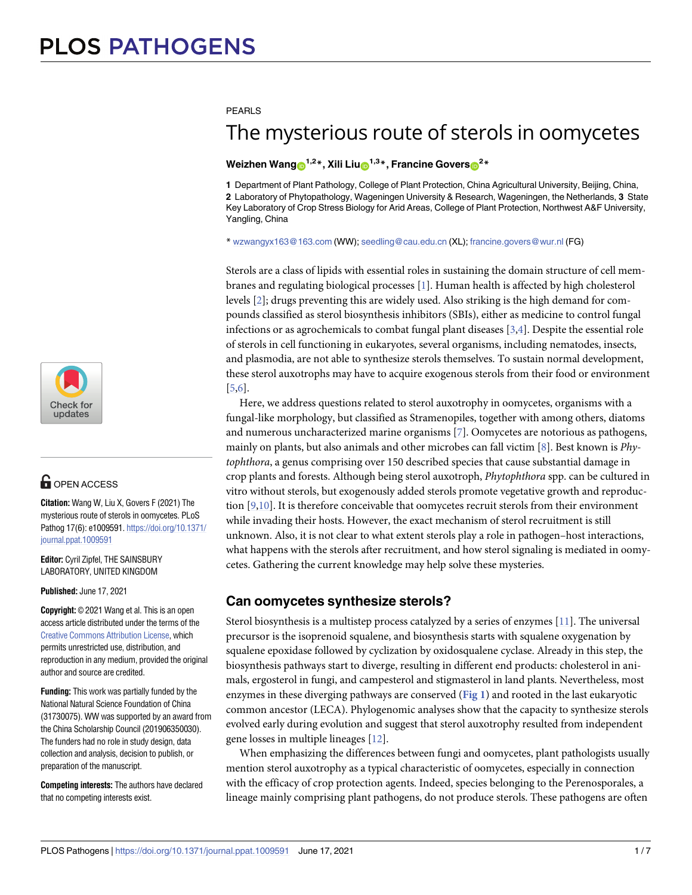

# **G** OPEN ACCESS

**Citation:** Wang W, Liu X, Govers F (2021) The mysterious route of sterols in oomycetes. PLoS Pathog 17(6): e1009591. [https://doi.org/10.1371/](https://doi.org/10.1371/journal.ppat.1009591) [journal.ppat.1009591](https://doi.org/10.1371/journal.ppat.1009591)

**Editor:** Cyril Zipfel, THE SAINSBURY LABORATORY, UNITED KINGDOM

**Published:** June 17, 2021

**Copyright:** © 2021 Wang et al. This is an open access article distributed under the terms of the Creative Commons [Attribution](http://creativecommons.org/licenses/by/4.0/) License, which permits unrestricted use, distribution, and reproduction in any medium, provided the original author and source are credited.

**Funding:** This work was partially funded by the National Natural Science Foundation of China (31730075). WW was supported by an award from the China Scholarship Council (201906350030). The funders had no role in study design, data collection and analysis, decision to publish, or preparation of the manuscript.

**Competing interests:** The authors have declared that no competing interests exist.

<span id="page-0-0"></span>PFARLS

# The mysterious route of sterols in oomycetes

### $\blacksquare$ **Weizhen**  $\blacksquare$   $\blacksquare$   $\blacksquare$   $\blacksquare$   $\blacksquare$   $\blacksquare$   $\blacksquare$   $\blacksquare$   $\blacksquare$   $\blacksquare$   $\blacksquare$   $\blacksquare$   $\blacksquare$   $\blacksquare$   $\blacksquare$   $\blacksquare$   $\blacksquare$   $\blacksquare$   $\blacksquare$   $\blacksquare$   $\blacksquare$   $\blacksquare$   $\blacksquare$   $\blacksquare$   $\blacksquare$   $\blacksquare$   $\blacksquare$   $\blacksquare$   $\blacksquare$   $\bl$

**1** Department of Plant Pathology, College of Plant Protection, China Agricultural University, Beijing, China, **2** Laboratory of Phytopathology, Wageningen University & Research, Wageningen, the Netherlands, **3** State Key Laboratory of Crop Stress Biology for Arid Areas, College of Plant Protection, Northwest A&F University, Yangling, China

\* wzwangyx163@163.com (WW); seedling@cau.edu.cn (XL); francine.govers@wur.nl (FG)

Sterols are a class of lipids with essential roles in sustaining the domain structure of cell membranes and regulating biological processes [[1](#page-5-0)]. Human health is affected by high cholesterol levels [\[2\]](#page-5-0); drugs preventing this are widely used. Also striking is the high demand for compounds classified as sterol biosynthesis inhibitors (SBIs), either as medicine to control fungal infections or as agrochemicals to combat fungal plant diseases [\[3,4](#page-5-0)]. Despite the essential role of sterols in cell functioning in eukaryotes, several organisms, including nematodes, insects, and plasmodia, are not able to synthesize sterols themselves. To sustain normal development, these sterol auxotrophs may have to acquire exogenous sterols from their food or environment [\[5,6](#page-5-0)].

Here, we address questions related to sterol auxotrophy in oomycetes, organisms with a fungal-like morphology, but classified as Stramenopiles, together with among others, diatoms and numerous uncharacterized marine organisms [[7](#page-5-0)]. Oomycetes are notorious as pathogens, mainly on plants, but also animals and other microbes can fall victim [\[8\]](#page-5-0). Best known is *Phytophthora*, a genus comprising over 150 described species that cause substantial damage in crop plants and forests. Although being sterol auxotroph, *Phytophthora* spp. can be cultured in vitro without sterols, but exogenously added sterols promote vegetative growth and reproduction [[9,10](#page-5-0)]. It is therefore conceivable that oomycetes recruit sterols from their environment while invading their hosts. However, the exact mechanism of sterol recruitment is still unknown. Also, it is not clear to what extent sterols play a role in pathogen–host interactions, what happens with the sterols after recruitment, and how sterol signaling is mediated in oomycetes. Gathering the current knowledge may help solve these mysteries.

## $Can$  comycetes synthesize sterols?

Sterol biosynthesis is a multistep process catalyzed by a series of enzymes [[11](#page-5-0)]. The universal precursor is the isoprenoid squalene, and biosynthesis starts with squalene oxygenation by squalene epoxidase followed by cyclization by oxidosqualene cyclase. Already in this step, the biosynthesis pathways start to diverge, resulting in different end products: cholesterol in animals, ergosterol in fungi, and campesterol and stigmasterol in land plants. Nevertheless, most enzymes in these diverging pathways are conserved (**[Fig](#page-1-0) 1**) and rooted in the last eukaryotic common ancestor (LECA). Phylogenomic analyses show that the capacity to synthesize sterols evolved early during evolution and suggest that sterol auxotrophy resulted from independent gene losses in multiple lineages [[12](#page-5-0)].

When emphasizing the differences between fungi and oomycetes, plant pathologists usually mention sterol auxotrophy as a typical characteristic of oomycetes, especially in connection with the efficacy of crop protection agents. Indeed, species belonging to the Perenosporales, a lineage mainly comprising plant pathogens, do not produce sterols. These pathogens are often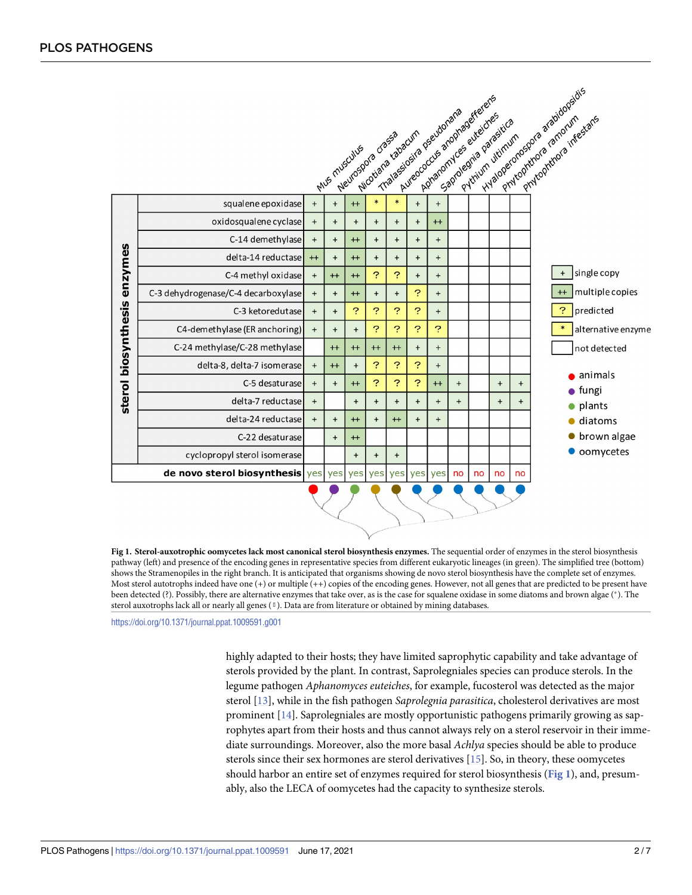<span id="page-1-0"></span>

|                                |                                     |           |           | Meurospora crassa<br>Mus musculus | Wicotland cabacum |           |           | Aureococcus anophasereals<br>Thalassiosiza pseudonana<br>Apharomyces eureicres | Saprolegría parasitica | Pythum utimum |           |     | Hyalogeronospora arabidopsidis |     | Phytophthora infestans |
|--------------------------------|-------------------------------------|-----------|-----------|-----------------------------------|-------------------|-----------|-----------|--------------------------------------------------------------------------------|------------------------|---------------|-----------|-----|--------------------------------|-----|------------------------|
|                                | squalene epoxidase                  | $\ddot{}$ | $\ddot{}$ | $+$                               | $\ast$            | $\ast$    | $+$       | $+$                                                                            |                        |               |           |     |                                |     |                        |
| enzymes<br>sterol biosynthesis | oxidosqualene cyclase               | $\ddot{}$ | $\ddot{}$ | $\ddot{}$                         | $\ddot{}$         | $\ddot{}$ | $\ddot{}$ | $+$                                                                            |                        |               |           |     |                                |     |                        |
|                                | C-14 demethylase                    | $\ddot{}$ | $+$       | $+$                               | $+$               | $+$       | $+$       | $+$                                                                            |                        |               |           |     |                                |     |                        |
|                                | delta-14 reductase                  | $++$      | $\ddot{}$ | $+$                               | $\ddot{}$         | $\ddot{}$ | $\ddot{}$ | $\ddot{}$                                                                      |                        |               |           |     |                                |     |                        |
|                                | C-4 methyl oxidase                  | $+$       | $+$       | $+$                               | ?                 | P         | $+$       | $\ddot{}$                                                                      |                        |               |           |     |                                | $+$ | single copy            |
|                                | C-3 dehydrogenase/C-4 decarboxylase | $\ddot{}$ | $\ddot{}$ | $++$                              | $\ddot{}$         | $\ddot{}$ | ?         | $\ddot{}$                                                                      |                        |               |           |     |                                | $+$ | multiple copies        |
|                                | C-3 ketoredutase                    | $+$       | $+$       | ?                                 | 2                 | ?         | ?         | $\ddot{}$                                                                      |                        |               |           |     |                                | ?   | predicted              |
|                                | C4-demethylase (ER anchoring)       | $\ddot{}$ | $+$       | $+$                               | ?                 | P         | ?         | ?                                                                              |                        |               |           |     |                                |     | alternative enzyme     |
|                                | C-24 methylase/C-28 methylase       |           | $++$      | $+$                               | $++$              | $+$       | $\ddot{}$ | $\ddot{}$                                                                      |                        |               |           |     |                                |     | not detected           |
|                                | delta-8, delta-7 isomerase          | $\ddot{}$ | $+$       | $\ddot{}$                         | ?                 | ?         | ?         | $\ddot{}$                                                                      |                        |               |           |     |                                |     | animals                |
|                                | C-5 desaturase                      | $\ddot{}$ | $\ddot{}$ | $+$                               | ?                 | ?         | ?         | $+$                                                                            | $+$                    |               | $\ddot{}$ | $+$ |                                |     | fungi                  |
|                                | delta-7 reductase                   | $\ddot{}$ |           | $+$                               | $\ddot{}$         | $+$       | $+$       | $+$                                                                            | $+$                    |               | $\ddot{}$ | $+$ |                                |     | plants                 |
|                                | delta-24 reductase                  | $\ddot{}$ | $+$       | $+$                               | $\ddot{}$         | $+$       | $\ddot{}$ | $\ddot{}$                                                                      |                        |               |           |     |                                |     | diatoms                |
|                                | C-22 desaturase                     |           | $+$       | $++$                              |                   |           |           |                                                                                |                        |               |           |     |                                |     | brown algae            |
|                                | cyclopropyl sterol isomerase        |           |           | $+$                               | $+$               | $\ddot{}$ |           |                                                                                |                        |               |           |     |                                |     | oomycetes              |
|                                | de novo sterol biosynthesis ves     |           |           | yes yes                           | yes               | yes       | yes       | yes                                                                            | no                     | no            | no        | no  |                                |     |                        |
|                                |                                     |           |           |                                   |                   |           |           |                                                                                |                        |               |           |     |                                |     |                        |

**[Fig](#page-0-0) 1. Sterol-auxotrophic oomycetes lack most canonical sterol biosynthesis enzymes.** The sequential order of enzymes in the sterol biosynthesis pathway (left) and presence of the encoding genes in representative species from different eukaryotic lineages (in green). The simplified tree (bottom) shows the Stramenopiles in the right branch. It is anticipated that organisms showing de novo sterol biosynthesis have the complete set of enzymes. Most sterol autotrophs indeed have one (+) or multiple (++) copies of the encoding genes. However, not all genes that are predicted to be present have been detected (?). Possibly, there are alternative enzymes that take over, as is the case for squalene oxidase in some diatoms and brown algae (\*). The �). T*AU*he : *PleasecheckandconfirmifthesymbolusedinthesentenceThesterolauxotrophslackall:::hasbeencapturedcorrectly:* sterol auxotrophs lack all or nearly all genes ( $\emptyset$ ). Data are from literature or obtained by mining databases.

<https://doi.org/10.1371/journal.ppat.1009591.g001>

highly adapted to their hosts; they have limited saprophytic capability and take advantage of sterols provided by the plant. In contrast, Saprolegniales species can produce sterols. In the legume pathogen *Aphanomyces euteiches*, for example, fucosterol was detected as the major sterol [[13](#page-5-0)], while in the fish pathogen *Saprolegnia parasitica*, cholesterol derivatives are most prominent [[14](#page-5-0)]. Saprolegniales are mostly opportunistic pathogens primarily growing as saprophytes apart from their hosts and thus cannot always rely on a sterol reservoir in their immediate surroundings. Moreover, also the more basal *Achlya* species should be able to produce sterols since their sex hormones are sterol derivatives [\[15\]](#page-5-0). So, in theory, these oomycetes should harbor an entire set of enzymes required for sterol biosynthesis (**Fig 1**), and, presumably, also the LECA of oomycetes had the capacity to synthesize sterols.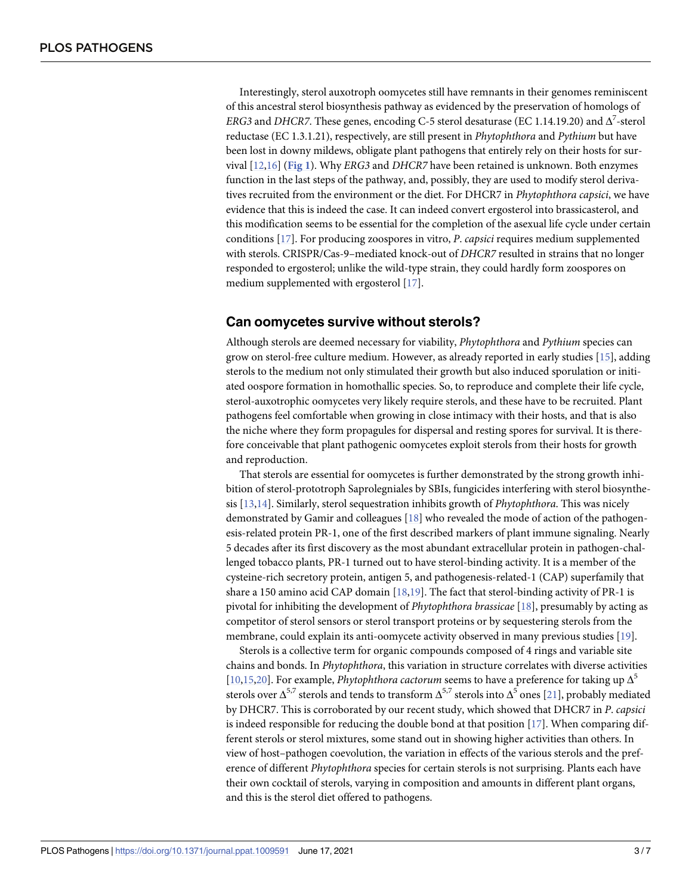<span id="page-2-0"></span>Interestingly, sterol auxotroph oomycetes still have remnants in their genomes reminiscent of this ancestral sterol biosynthesis pathway as evidenced by the preservation of homologs of *ERG3* and *DHCR7*. These genes, encoding C-5 sterol desaturase (EC 1.14.19.20) and  $\Delta^7$ -sterol reductase (EC 1.3.1.21), respectively, are still present in *Phytophthora* and *Pythium* but have been lost in downy mildews, obligate plant pathogens that entirely rely on their hosts for survival [\[12,16](#page-5-0)] (**[Fig](#page-1-0) 1**). Why *ERG3* and *DHCR7* have been retained is unknown. Both enzymes function in the last steps of the pathway, and, possibly, they are used to modify sterol derivatives recruited from the environment or the diet. For DHCR7 in *Phytophthora capsici*, we have evidence that this is indeed the case. It can indeed convert ergosterol into brassicasterol, and this modification seems to be essential for the completion of the asexual life cycle under certain conditions [\[17\]](#page-5-0). For producing zoospores in vitro, *P*. *capsici* requires medium supplemented with sterols. CRISPR/Cas-9–mediated knock-out of *DHCR7* resulted in strains that no longer responded to ergosterol; unlike the wild-type strain, they could hardly form zoospores on medium supplemented with ergosterol [[17](#page-5-0)].

### **Can oomycetes survive without sterols?**

Although sterols are deemed necessary for viability, *Phytophthora* and *Pythium* species can grow on sterol-free culture medium. However, as already reported in early studies [[15](#page-5-0)], adding sterols to the medium not only stimulated their growth but also induced sporulation or initiated oospore formation in homothallic species. So, to reproduce and complete their life cycle, sterol-auxotrophic oomycetes very likely require sterols, and these have to be recruited. Plant pathogens feel comfortable when growing in close intimacy with their hosts, and that is also the niche where they form propagules for dispersal and resting spores for survival. It is therefore conceivable that plant pathogenic oomycetes exploit sterols from their hosts for growth and reproduction.

That sterols are essential for oomycetes is further demonstrated by the strong growth inhibition of sterol-prototroph Saprolegniales by SBIs, fungicides interfering with sterol biosynthesis [\[13,14\]](#page-5-0). Similarly, sterol sequestration inhibits growth of *Phytophthora*. This was nicely demonstrated by Gamir and colleagues [\[18\]](#page-5-0) who revealed the mode of action of the pathogenesis-related protein PR-1, one of the first described markers of plant immune signaling. Nearly 5 decades after its first discovery as the most abundant extracellular protein in pathogen-challenged tobacco plants, PR-1 turned out to have sterol-binding activity. It is a member of the cysteine-rich secretory protein, antigen 5, and pathogenesis-related-1 (CAP) superfamily that share a 150 amino acid CAP domain [\[18,19](#page-5-0)]. The fact that sterol-binding activity of PR-1 is pivotal for inhibiting the development of *Phytophthora brassicae* [[18](#page-5-0)], presumably by acting as competitor of sterol sensors or sterol transport proteins or by sequestering sterols from the membrane, could explain its anti-oomycete activity observed in many previous studies [[19](#page-5-0)].

Sterols is a collective term for organic compounds composed of 4 rings and variable site chains and bonds. In *Phytophthora*, this variation in structure correlates with diverse activities [\[10,15,](#page-5-0)[20](#page-6-0)]. For example, *Phytophthora cactorum* seems to have a preference for taking up  $\Delta^5$ sterols over  $\Delta^{5,7}$  sterols and tends to transform  $\Delta^{5,7}$  sterols into  $\Delta^{5}$  ones [[21](#page-6-0)], probably mediated by DHCR7. This is corroborated by our recent study, which showed that DHCR7 in *P*. *capsici* is indeed responsible for reducing the double bond at that position [\[17\]](#page-5-0). When comparing different sterols or sterol mixtures, some stand out in showing higher activities than others. In view of host–pathogen coevolution, the variation in effects of the various sterols and the preference of different *Phytophthora* species for certain sterols is not surprising. Plants each have their own cocktail of sterols, varying in composition and amounts in different plant organs, and this is the sterol diet offered to pathogens.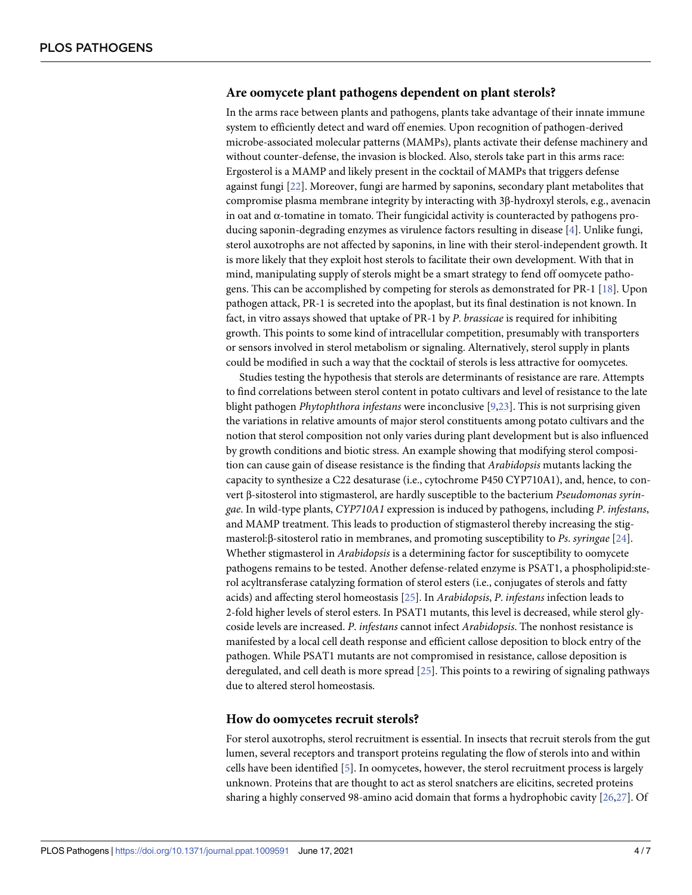### <span id="page-3-0"></span>**Are oomycete plant pathogens dependent on plant sterols?**

In the arms race between plants and pathogens, plants take advantage of their innate immune system to efficiently detect and ward off enemies. Upon recognition of pathogen-derived microbe-associated molecular patterns (MAMPs), plants activate their defense machinery and without counter-defense, the invasion is blocked. Also, sterols take part in this arms race: Ergosterol is a MAMP and likely present in the cocktail of MAMPs that triggers defense against fungi [[22](#page-6-0)]. Moreover, fungi are harmed by saponins, secondary plant metabolites that compromise plasma membrane integrity by interacting with 3β-hydroxyl sterols, e.g., avenacin in oat and  $\alpha$ -tomatine in tomato. Their fungicidal activity is counteracted by pathogens producing saponin-degrading enzymes as virulence factors resulting in disease [[4](#page-5-0)]. Unlike fungi, sterol auxotrophs are not affected by saponins, in line with their sterol-independent growth. It is more likely that they exploit host sterols to facilitate their own development. With that in mind, manipulating supply of sterols might be a smart strategy to fend off oomycete pathogens. This can be accomplished by competing for sterols as demonstrated for PR-1 [[18](#page-5-0)]. Upon pathogen attack, PR-1 is secreted into the apoplast, but its final destination is not known. In fact, in vitro assays showed that uptake of PR-1 by *P*. *brassicae* is required for inhibiting growth. This points to some kind of intracellular competition, presumably with transporters or sensors involved in sterol metabolism or signaling. Alternatively, sterol supply in plants could be modified in such a way that the cocktail of sterols is less attractive for oomycetes.

Studies testing the hypothesis that sterols are determinants of resistance are rare. Attempts to find correlations between sterol content in potato cultivars and level of resistance to the late blight pathogen *Phytophthora infestans* were inconclusive [\[9](#page-5-0)[,23\]](#page-6-0). This is not surprising given the variations in relative amounts of major sterol constituents among potato cultivars and the notion that sterol composition not only varies during plant development but is also influenced by growth conditions and biotic stress. An example showing that modifying sterol composition can cause gain of disease resistance is the finding that *Arabidopsis* mutants lacking the capacity to synthesize a C22 desaturase (i.e., cytochrome P450 CYP710A1), and, hence, to convert β-sitosterol into stigmasterol, are hardly susceptible to the bacterium *Pseudomonas syringae*. In wild-type plants, *CYP710A1* expression is induced by pathogens, including *P*. *infestans*, and MAMP treatment. This leads to production of stigmasterol thereby increasing the stigmasterol:β-sitosterol ratio in membranes, and promoting susceptibility to *Ps*. *syringae* [\[24\]](#page-6-0). Whether stigmasterol in *Arabidopsis* is a determining factor for susceptibility to oomycete pathogens remains to be tested. Another defense-related enzyme is PSAT1, a phospholipid:sterol acyltransferase catalyzing formation of sterol esters (i.e., conjugates of sterols and fatty acids) and affecting sterol homeostasis [\[25\]](#page-6-0). In *Arabidopsis*, *P*. *infestans* infection leads to 2-fold higher levels of sterol esters. In PSAT1 mutants, this level is decreased, while sterol glycoside levels are increased. *P*. *infestans* cannot infect *Arabidopsis*. The nonhost resistance is manifested by a local cell death response and efficient callose deposition to block entry of the pathogen. While PSAT1 mutants are not compromised in resistance, callose deposition is deregulated, and cell death is more spread [\[25\]](#page-6-0). This points to a rewiring of signaling pathways due to altered sterol homeostasis.

#### **How do oomycetes recruit sterols?**

For sterol auxotrophs, sterol recruitment is essential. In insects that recruit sterols from the gut lumen, several receptors and transport proteins regulating the flow of sterols into and within cells have been identified [\[5\]](#page-5-0). In oomycetes, however, the sterol recruitment process is largely unknown. Proteins that are thought to act as sterol snatchers are elicitins, secreted proteins sharing a highly conserved 98-amino acid domain that forms a hydrophobic cavity [[26,27\]](#page-6-0). Of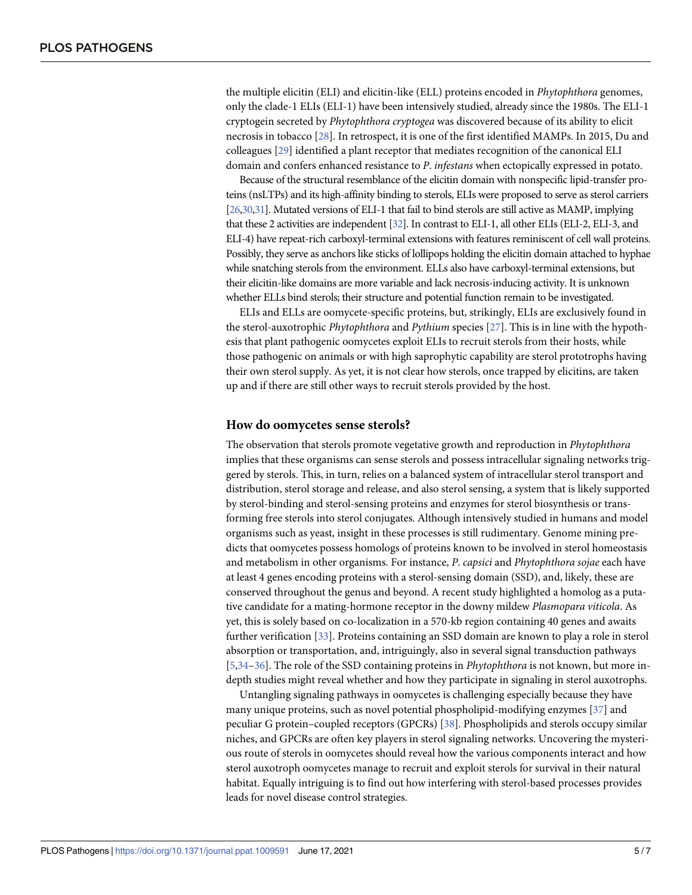<span id="page-4-0"></span>the multiple elicitin (ELI) and elicitin-like (ELL) proteins encoded in *Phytophthora* genomes, only the clade-1 ELIs (ELI-1) have been intensively studied, already since the 1980s. The ELI-1 cryptogein secreted by *Phytophthora cryptogea* was discovered because of its ability to elicit necrosis in tobacco [[28](#page-6-0)]. In retrospect, it is one of the first identified MAMPs. In 2015, Du and colleagues [\[29\]](#page-6-0) identified a plant receptor that mediates recognition of the canonical ELI domain and confers enhanced resistance to *P*. *infestans* when ectopically expressed in potato.

Because of the structural resemblance of the elicitin domain with nonspecific lipid-transfer proteins (nsLTPs) and its high-affinity binding to sterols, ELIs were proposed to serve as sterol carriers [\[26,30,31](#page-6-0)]. Mutated versions of ELI-1 that fail to bind sterols are still active as MAMP, implying that these 2 activities are independent [\[32](#page-6-0)]. In contrast to ELI-1, all other ELIs (ELI-2, ELI-3, and ELI-4) have repeat-rich carboxyl-terminal extensions with features reminiscent of cell wall proteins. Possibly, they serve as anchors like sticks of lollipops holding the elicitin domain attached to hyphae while snatching sterols from the environment. ELLs also have carboxyl-terminal extensions, but their elicitin-like domains are more variable and lack necrosis-inducing activity. It is unknown whether ELLs bind sterols; their structure and potential function remain to be investigated.

ELIs and ELLs are oomycete-specific proteins, but, strikingly, ELIs are exclusively found in the sterol-auxotrophic *Phytophthora* and *Pythium* species [[27](#page-6-0)]. This is in line with the hypothesis that plant pathogenic oomycetes exploit ELIs to recruit sterols from their hosts, while those pathogenic on animals or with high saprophytic capability are sterol prototrophs having their own sterol supply. As yet, it is not clear how sterols, once trapped by elicitins, are taken up and if there are still other ways to recruit sterols provided by the host.

#### **How do oomycetes sense sterols?**

The observation that sterols promote vegetative growth and reproduction in *Phytophthora* implies that these organisms can sense sterols and possess intracellular signaling networks triggered by sterols. This, in turn, relies on a balanced system of intracellular sterol transport and distribution, sterol storage and release, and also sterol sensing, a system that is likely supported by sterol-binding and sterol-sensing proteins and enzymes for sterol biosynthesis or transforming free sterols into sterol conjugates. Although intensively studied in humans and model organisms such as yeast, insight in these processes is still rudimentary. Genome mining predicts that oomycetes possess homologs of proteins known to be involved in sterol homeostasis and metabolism in other organisms. For instance, *P*. *capsici* and *Phytophthora sojae* each have at least 4 genes encoding proteins with a sterol-sensing domain (SSD), and, likely, these are conserved throughout the genus and beyond. A recent study highlighted a homolog as a putative candidate for a mating-hormone receptor in the downy mildew *Plasmopara viticola*. As yet, this is solely based on co-localization in a 570-kb region containing 40 genes and awaits further verification [\[33\]](#page-6-0). Proteins containing an SSD domain are known to play a role in sterol absorption or transportation, and, intriguingly, also in several signal transduction pathways [\[5](#page-5-0)[,34–36\]](#page-6-0). The role of the SSD containing proteins in *Phytophthora* is not known, but more indepth studies might reveal whether and how they participate in signaling in sterol auxotrophs.

Untangling signaling pathways in oomycetes is challenging especially because they have many unique proteins, such as novel potential phospholipid-modifying enzymes [[37](#page-6-0)] and peculiar G protein-coupled receptors (GPCRs) [[38](#page-6-0)]. Phospholipids and sterols occupy similar niches, and GPCRs are often key players in sterol signaling networks. Uncovering the mysterious route of sterols in oomycetes should reveal how the various components interact and how sterol auxotroph oomycetes manage to recruit and exploit sterols for survival in their natural habitat. Equally intriguing is to find out how interfering with sterol-based processes provides leads for novel disease control strategies.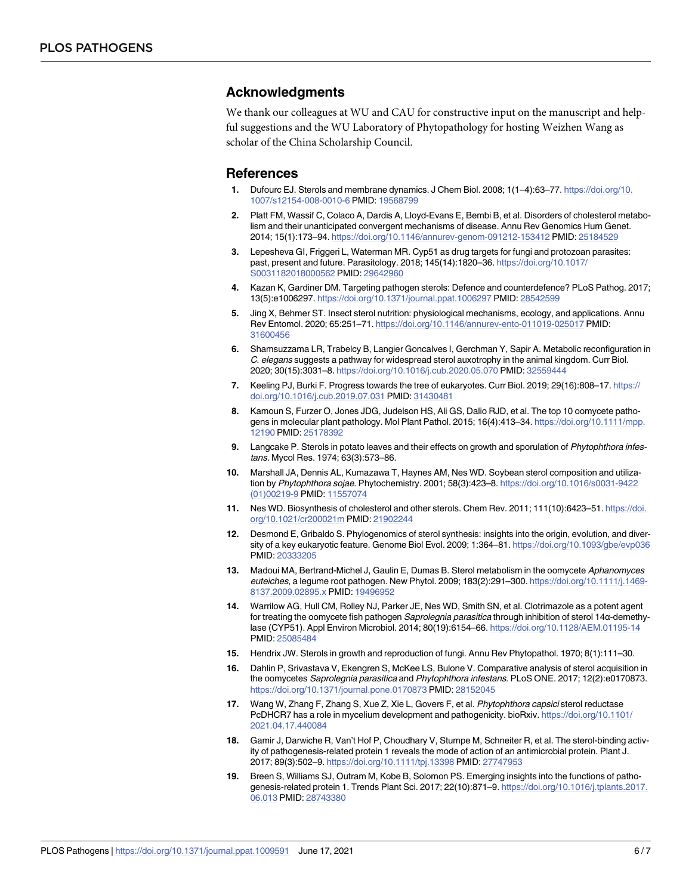#### <span id="page-5-0"></span>**Acknowledgments**

We thank our colleagues at WU and CAU for constructive input on the manuscript and helpful suggestions and the WU Laboratory of Phytopathology for hosting Weizhen Wang as scholar of the China Scholarship Council.

#### **References**

- **[1](#page-0-0).** Dufourc EJ. Sterols and membrane dynamics. J Chem Biol. 2008; 1(1–4):63–77. [https://doi.org/10.](https://doi.org/10.1007/s12154-008-0010-6) [1007/s12154-008-0010-6](https://doi.org/10.1007/s12154-008-0010-6) PMID: [19568799](http://www.ncbi.nlm.nih.gov/pubmed/19568799)
- **[2](#page-0-0).** Platt FM, Wassif C, Colaco A, Dardis A, Lloyd-Evans E, Bembi B, et al. Disorders of cholesterol metabolism and their unanticipated convergent mechanisms of disease. Annu Rev Genomics Hum Genet. 2014; 15(1):173–94. <https://doi.org/10.1146/annurev-genom-091212-153412> PMID: [25184529](http://www.ncbi.nlm.nih.gov/pubmed/25184529)
- **[3](#page-0-0).** Lepesheva GI, Friggeri L, Waterman MR. Cyp51 as drug targets for fungi and protozoan parasites: past, present and future. Parasitology. 2018; 145(14):1820–36. [https://doi.org/10.1017/](https://doi.org/10.1017/S0031182018000562) [S0031182018000562](https://doi.org/10.1017/S0031182018000562) PMID: [29642960](http://www.ncbi.nlm.nih.gov/pubmed/29642960)
- **[4](#page-0-0).** Kazan K, Gardiner DM. Targeting pathogen sterols: Defence and counterdefence? PLoS Pathog. 2017; 13(5):e1006297. <https://doi.org/10.1371/journal.ppat.1006297> PMID: [28542599](http://www.ncbi.nlm.nih.gov/pubmed/28542599)
- **[5](#page-0-0).** Jing X, Behmer ST. Insect sterol nutrition: physiological mechanisms, ecology, and applications. Annu Rev Entomol. 2020; 65:251–71. <https://doi.org/10.1146/annurev-ento-011019-025017> PMID: [31600456](http://www.ncbi.nlm.nih.gov/pubmed/31600456)
- **[6](#page-0-0).** Shamsuzzama LR, Trabelcy B, Langier Goncalves I, Gerchman Y, Sapir A. Metabolic reconfiguration in C. elegans suggests a pathway for widespread sterol auxotrophy in the animal kingdom. Curr Biol. 2020; 30(15):3031–8. <https://doi.org/10.1016/j.cub.2020.05.070> PMID: [32559444](http://www.ncbi.nlm.nih.gov/pubmed/32559444)
- **[7](#page-0-0).** Keeling PJ, Burki F. Progress towards the tree of eukaryotes. Curr Biol. 2019; 29(16):808–17. [https://](https://doi.org/10.1016/j.cub.2019.07.031) [doi.org/10.1016/j.cub.2019.07.031](https://doi.org/10.1016/j.cub.2019.07.031) PMID: [31430481](http://www.ncbi.nlm.nih.gov/pubmed/31430481)
- **[8](#page-0-0).** Kamoun S, Furzer O, Jones JDG, Judelson HS, Ali GS, Dalio RJD, et al. The top 10 oomycete pathogens in molecular plant pathology. Mol Plant Pathol. 2015; 16(4):413–34. [https://doi.org/10.1111/mpp.](https://doi.org/10.1111/mpp.12190) [12190](https://doi.org/10.1111/mpp.12190) PMID: [25178392](http://www.ncbi.nlm.nih.gov/pubmed/25178392)
- **[9](#page-0-0).** Langcake P. Sterols in potato leaves and their effects on growth and sporulation of Phytophthora infestans. Mycol Res. 1974; 63(3):573–86.
- **[10](#page-0-0).** Marshall JA, Dennis AL, Kumazawa T, Haynes AM, Nes WD. Soybean sterol composition and utilization by Phytophthora sojae. Phytochemistry. 2001; 58(3):423–8. [https://doi.org/10.1016/s0031-9422](https://doi.org/10.1016/s0031-9422%2801%2900219-9) [\(01\)00219-9](https://doi.org/10.1016/s0031-9422%2801%2900219-9) PMID: [11557074](http://www.ncbi.nlm.nih.gov/pubmed/11557074)
- **[11](#page-0-0).** Nes WD. Biosynthesis of cholesterol and other sterols. Chem Rev. 2011; 111(10):6423–51. [https://doi.](https://doi.org/10.1021/cr200021m) [org/10.1021/cr200021m](https://doi.org/10.1021/cr200021m) PMID: [21902244](http://www.ncbi.nlm.nih.gov/pubmed/21902244)
- **[12](#page-0-0).** Desmond E, Gribaldo S. Phylogenomics of sterol synthesis: insights into the origin, evolution, and diversity of a key eukaryotic feature. Genome Biol Evol. 2009; 1:364–81. <https://doi.org/10.1093/gbe/evp036> PMID: [20333205](http://www.ncbi.nlm.nih.gov/pubmed/20333205)
- **[13](#page-1-0).** Madoui MA, Bertrand-Michel J, Gaulin E, Dumas B. Sterol metabolism in the oomycete Aphanomyces euteiches, a legume root pathogen. New Phytol. 2009; 183(2):291-300. [https://doi.org/10.1111/j.1469-](https://doi.org/10.1111/j.1469-8137.2009.02895.x) [8137.2009.02895.x](https://doi.org/10.1111/j.1469-8137.2009.02895.x) PMID: [19496952](http://www.ncbi.nlm.nih.gov/pubmed/19496952)
- **[14](#page-1-0).** Warrilow AG, Hull CM, Rolley NJ, Parker JE, Nes WD, Smith SN, et al. Clotrimazole as a potent agent for treating the oomycete fish pathogen Saprolegnia parasitica through inhibition of sterol 14α-demethylase (CYP51). Appl Environ Microbiol. 2014; 80(19):6154–66. <https://doi.org/10.1128/AEM.01195-14> PMID: [25085484](http://www.ncbi.nlm.nih.gov/pubmed/25085484)
- **[15](#page-1-0).** Hendrix JW. Sterols in growth and reproduction of fungi. Annu Rev Phytopathol. 1970; 8(1):111–30.
- **[16](#page-2-0).** Dahlin P, Srivastava V, Ekengren S, McKee LS, Bulone V. Comparative analysis of sterol acquisition in the oomycetes Saprolegnia parasitica and Phytophthora infestans. PLoS ONE. 2017; 12(2):e0170873. <https://doi.org/10.1371/journal.pone.0170873> PMID: [28152045](http://www.ncbi.nlm.nih.gov/pubmed/28152045)
- **[17](#page-2-0).** Wang W, Zhang F, Zhang S, Xue Z, Xie L, Govers F, et al. Phytophthora capsici sterol reductase PcDHCR7 has a role in mycelium development and pathogenicity. bioRxiv. [https://doi.org/10.1101/](https://doi.org/10.1101/2021.04.17.440084) [2021.04.17.440084](https://doi.org/10.1101/2021.04.17.440084)
- **[18](#page-2-0).** Gamir J, Darwiche R, Van't Hof P, Choudhary V, Stumpe M, Schneiter R, et al. The sterol-binding activity of pathogenesis-related protein 1 reveals the mode of action of an antimicrobial protein. Plant J. 2017; 89(3):502–9. <https://doi.org/10.1111/tpj.13398> PMID: [27747953](http://www.ncbi.nlm.nih.gov/pubmed/27747953)
- **[19](#page-2-0).** Breen S, Williams SJ, Outram M, Kobe B, Solomon PS. Emerging insights into the functions of pathogenesis-related protein 1. Trends Plant Sci. 2017; 22(10):871–9. [https://doi.org/10.1016/j.tplants.2017.](https://doi.org/10.1016/j.tplants.2017.06.013) [06.013](https://doi.org/10.1016/j.tplants.2017.06.013) PMID: [28743380](http://www.ncbi.nlm.nih.gov/pubmed/28743380)